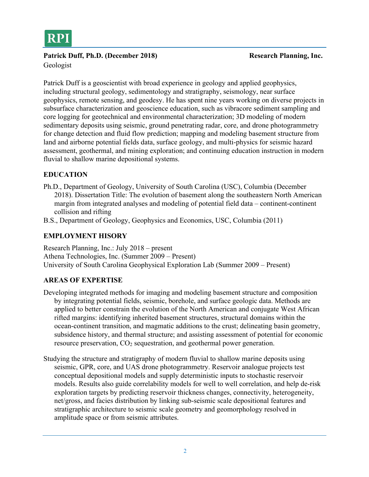# Patrick Duff, Ph.D. (December 2018) **Research Planning, Inc.**

Geologist

Patrick Duff is a geoscientist with broad experience in geology and applied geophysics, including structural geology, sedimentology and stratigraphy, seismology, near surface geophysics, remote sensing, and geodesy. He has spent nine years working on diverse projects in subsurface characterization and geoscience education, such as vibracore sediment sampling and core logging for geotechnical and environmental characterization; 3D modeling of modern sedimentary deposits using seismic, ground penetrating radar, core, and drone photogrammetry for change detection and fluid flow prediction; mapping and modeling basement structure from land and airborne potential fields data, surface geology, and multi-physics for seismic hazard assessment, geothermal, and mining exploration; and continuing education instruction in modern fluvial to shallow marine depositional systems.

## **EDUCATION**

Ph.D., Department of Geology, University of South Carolina (USC), Columbia (December 2018). Dissertation Title: The evolution of basement along the southeastern North American margin from integrated analyses and modeling of potential field data – continent-continent collision and rifting

B.S., Department of Geology, Geophysics and Economics, USC, Columbia (2011)

## **EMPLOYMENT HISORY**

Research Planning, Inc.: July 2018 – present Athena Technologies, Inc. (Summer 2009 – Present) University of South Carolina Geophysical Exploration Lab (Summer 2009 – Present)

#### **AREAS OF EXPERTISE**

- Developing integrated methods for imaging and modeling basement structure and composition by integrating potential fields, seismic, borehole, and surface geologic data. Methods are applied to better constrain the evolution of the North American and conjugate West African rifted margins: identifying inherited basement structures, structural domains within the ocean-continent transition, and magmatic additions to the crust; delineating basin geometry, subsidence history, and thermal structure; and assisting assessment of potential for economic resource preservation,  $CO<sub>2</sub>$  sequestration, and geothermal power generation.
- Studying the structure and stratigraphy of modern fluvial to shallow marine deposits using seismic, GPR, core, and UAS drone photogrammetry. Reservoir analogue projects test conceptual depositional models and supply deterministic inputs to stochastic reservoir models. Results also guide correlability models for well to well correlation, and help de-risk exploration targets by predicting reservoir thickness changes, connectivity, heterogeneity, net/gross, and facies distribution by linking sub-seismic scale depositional features and stratigraphic architecture to seismic scale geometry and geomorphology resolved in amplitude space or from seismic attributes.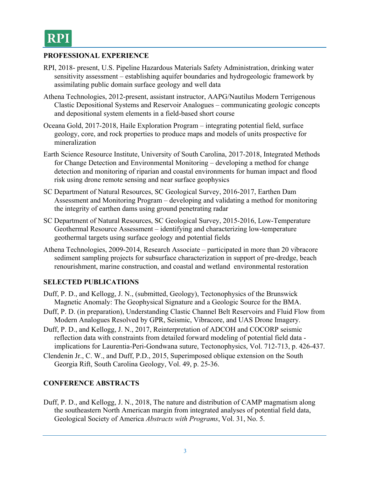#### **PROFESSIONAL EXPERIENCE**

- RPI, 2018- present, U.S. Pipeline Hazardous Materials Safety Administration, drinking water sensitivity assessment – establishing aquifer boundaries and hydrogeologic framework by assimilating public domain surface geology and well data
- Athena Technologies, 2012-present, assistant instructor, AAPG/Nautilus Modern Terrigenous Clastic Depositional Systems and Reservoir Analogues – communicating geologic concepts and depositional system elements in a field-based short course
- Oceana Gold, 2017-2018, Haile Exploration Program integrating potential field, surface geology, core, and rock properties to produce maps and models of units prospective for mineralization
- Earth Science Resource Institute, University of South Carolina, 2017-2018, Integrated Methods for Change Detection and Environmental Monitoring – developing a method for change detection and monitoring of riparian and coastal environments for human impact and flood risk using drone remote sensing and near surface geophysics
- SC Department of Natural Resources, SC Geological Survey, 2016-2017, Earthen Dam Assessment and Monitoring Program – developing and validating a method for monitoring the integrity of earthen dams using ground penetrating radar
- SC Department of Natural Resources, SC Geological Survey, 2015-2016, Low-Temperature Geothermal Resource Assessment – identifying and characterizing low-temperature geothermal targets using surface geology and potential fields
- Athena Technologies, 2009-2014, Research Associate participated in more than 20 vibracore sediment sampling projects for subsurface characterization in support of pre-dredge, beach renourishment, marine construction, and coastal and wetland environmental restoration

#### **SELECTED PUBLICATIONS**

- Duff, P. D., and Kellogg, J. N., (submitted, Geology), Tectonophysics of the Brunswick Magnetic Anomaly: The Geophysical Signature and a Geologic Source for the BMA.
- Duff, P. D. (in preparation), Understanding Clastic Channel Belt Reservoirs and Fluid Flow from Modern Analogues Resolved by GPR, Seismic, Vibracore, and UAS Drone Imagery.
- Duff, P. D., and Kellogg, J. N., 2017, Reinterpretation of ADCOH and COCORP seismic reflection data with constraints from detailed forward modeling of potential field data implications for Laurentia-Peri-Gondwana suture, Tectonophysics, Vol. 712-713, p. 426-437.
- Clendenin Jr., C. W., and Duff, P.D., 2015, Superimposed oblique extension on the South Georgia Rift, South Carolina Geology, Vol. 49, p. 25-36.

#### **CONFERENCE ABSTRACTS**

Duff, P. D., and Kellogg, J. N., 2018, The nature and distribution of CAMP magmatism along the southeastern North American margin from integrated analyses of potential field data, Geological Society of America *Abstracts with Programs*, Vol. 31, No. 5.